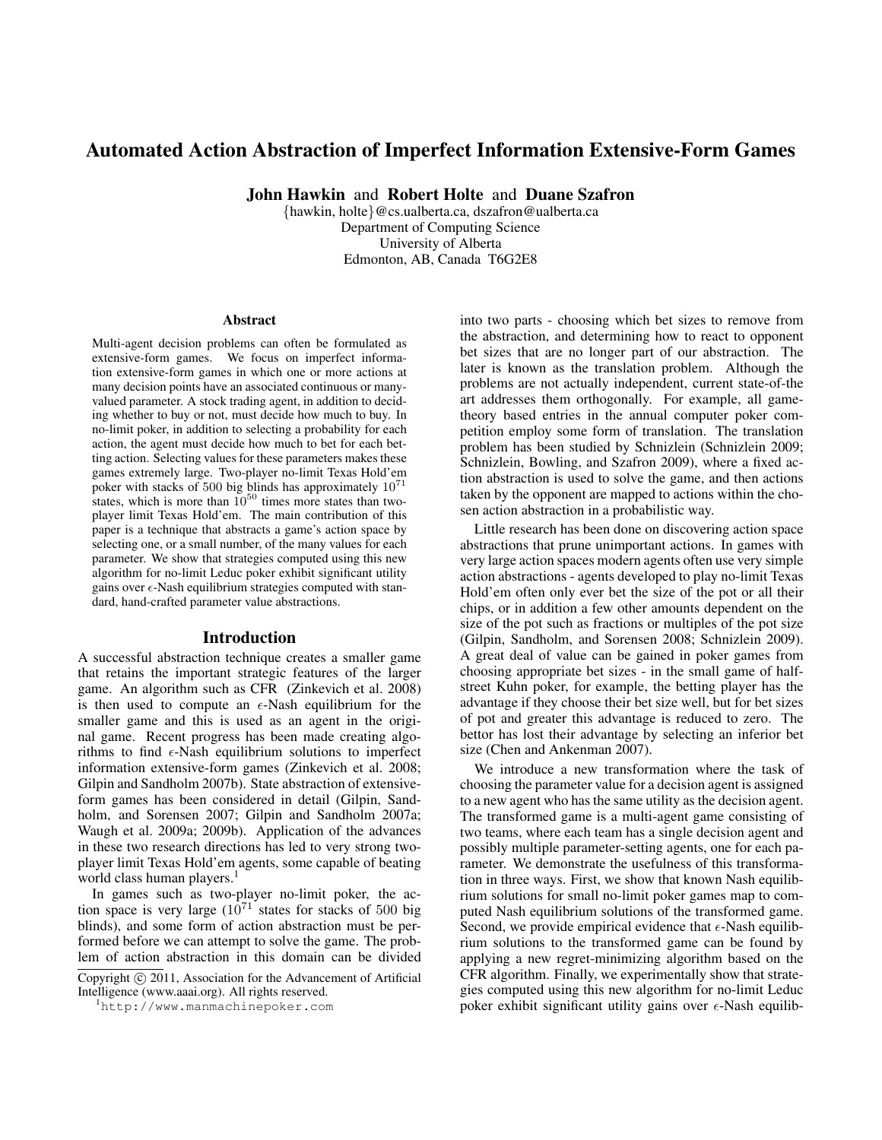# Automated Action Abstraction of Imperfect Information Extensive-Form Games

John Hawkin and Robert Holte and Duane Szafron

{hawkin, holte}@cs.ualberta.ca, dszafron@ualberta.ca Department of Computing Science University of Alberta Edmonton, AB, Canada T6G2E8

#### Abstract

Multi-agent decision problems can often be formulated as extensive-form games. We focus on imperfect information extensive-form games in which one or more actions at many decision points have an associated continuous or manyvalued parameter. A stock trading agent, in addition to deciding whether to buy or not, must decide how much to buy. In no-limit poker, in addition to selecting a probability for each action, the agent must decide how much to bet for each betting action. Selecting values for these parameters makes these games extremely large. Two-player no-limit Texas Hold'em poker with stacks of 500 big blinds has approximately 10<sup>71</sup> states, which is more than  $10^{50}$  times more states than twoplayer limit Texas Hold'em. The main contribution of this paper is a technique that abstracts a game's action space by selecting one, or a small number, of the many values for each parameter. We show that strategies computed using this new algorithm for no-limit Leduc poker exhibit significant utility gains over  $\epsilon$ -Nash equilibrium strategies computed with standard, hand-crafted parameter value abstractions.

#### Introduction

A successful abstraction technique creates a smaller game that retains the important strategic features of the larger game. An algorithm such as CFR (Zinkevich et al. 2008) is then used to compute an  $\epsilon$ -Nash equilibrium for the smaller game and this is used as an agent in the original game. Recent progress has been made creating algorithms to find  $\epsilon$ -Nash equilibrium solutions to imperfect information extensive-form games (Zinkevich et al. 2008; Gilpin and Sandholm 2007b). State abstraction of extensiveform games has been considered in detail (Gilpin, Sandholm, and Sorensen 2007; Gilpin and Sandholm 2007a; Waugh et al. 2009a; 2009b). Application of the advances in these two research directions has led to very strong twoplayer limit Texas Hold'em agents, some capable of beating world class human players.<sup>1</sup>

In games such as two-player no-limit poker, the action space is very large  $(10^{71}$  states for stacks of 500 big blinds), and some form of action abstraction must be performed before we can attempt to solve the game. The problem of action abstraction in this domain can be divided

Copyright (c) 2011, Association for the Advancement of Artificial Intelligence (www.aaai.org). All rights reserved.

into two parts - choosing which bet sizes to remove from the abstraction, and determining how to react to opponent bet sizes that are no longer part of our abstraction. The later is known as the translation problem. Although the problems are not actually independent, current state-of-the art addresses them orthogonally. For example, all gametheory based entries in the annual computer poker competition employ some form of translation. The translation problem has been studied by Schnizlein (Schnizlein 2009; Schnizlein, Bowling, and Szafron 2009), where a fixed action abstraction is used to solve the game, and then actions taken by the opponent are mapped to actions within the chosen action abstraction in a probabilistic way.

Little research has been done on discovering action space abstractions that prune unimportant actions. In games with very large action spaces modern agents often use very simple action abstractions - agents developed to play no-limit Texas Hold'em often only ever bet the size of the pot or all their chips, or in addition a few other amounts dependent on the size of the pot such as fractions or multiples of the pot size (Gilpin, Sandholm, and Sorensen 2008; Schnizlein 2009). A great deal of value can be gained in poker games from choosing appropriate bet sizes - in the small game of halfstreet Kuhn poker, for example, the betting player has the advantage if they choose their bet size well, but for bet sizes of pot and greater this advantage is reduced to zero. The bettor has lost their advantage by selecting an inferior bet size (Chen and Ankenman 2007).

We introduce a new transformation where the task of choosing the parameter value for a decision agent is assigned to a new agent who has the same utility as the decision agent. The transformed game is a multi-agent game consisting of two teams, where each team has a single decision agent and possibly multiple parameter-setting agents, one for each parameter. We demonstrate the usefulness of this transformation in three ways. First, we show that known Nash equilibrium solutions for small no-limit poker games map to computed Nash equilibrium solutions of the transformed game. Second, we provide empirical evidence that  $\epsilon$ -Nash equilibrium solutions to the transformed game can be found by applying a new regret-minimizing algorithm based on the CFR algorithm. Finally, we experimentally show that strategies computed using this new algorithm for no-limit Leduc poker exhibit significant utility gains over  $\epsilon$ -Nash equilib-

<sup>1</sup>http://www.manmachinepoker.com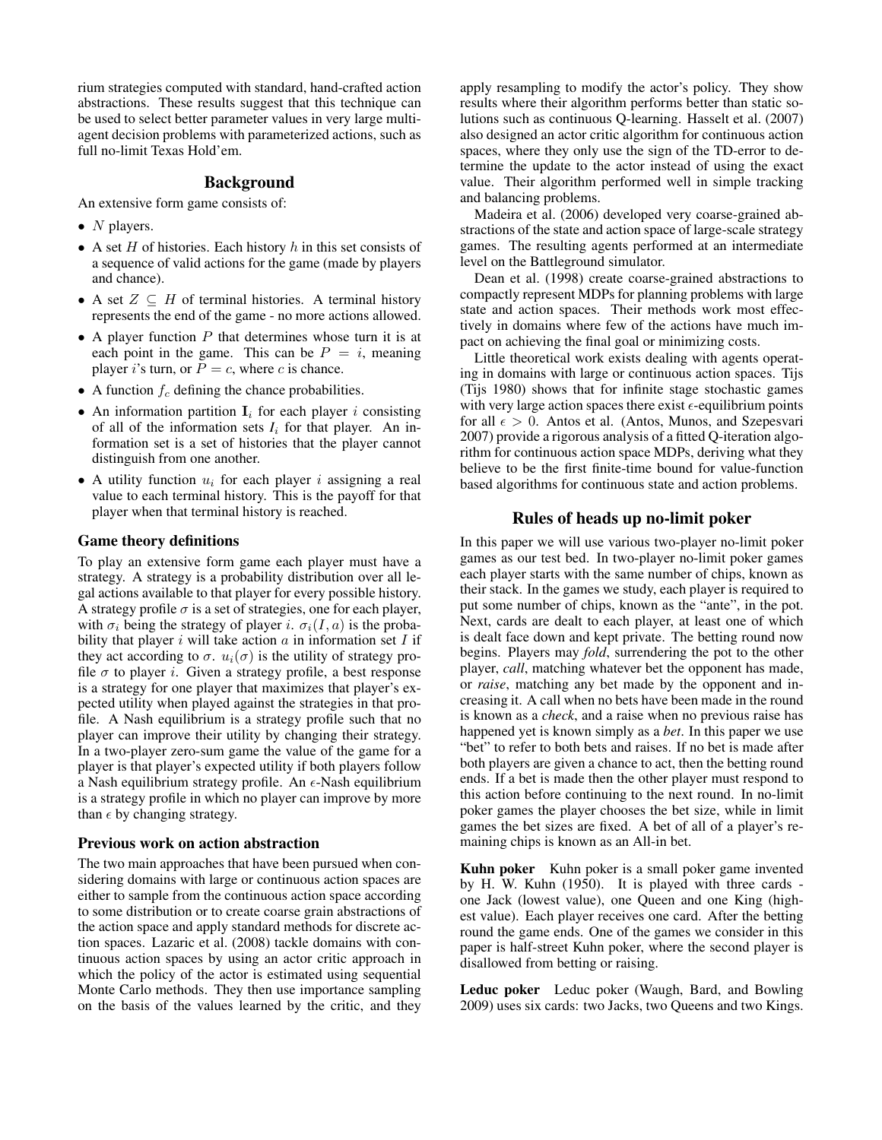rium strategies computed with standard, hand-crafted action abstractions. These results suggest that this technique can be used to select better parameter values in very large multiagent decision problems with parameterized actions, such as full no-limit Texas Hold'em.

# Background

An extensive form game consists of:

- $N$  players.
- A set  $H$  of histories. Each history  $h$  in this set consists of a sequence of valid actions for the game (made by players and chance).
- A set  $Z \subseteq H$  of terminal histories. A terminal history represents the end of the game - no more actions allowed.
- A player function  $P$  that determines whose turn it is at each point in the game. This can be  $P = i$ , meaning player i's turn, or  $\overline{P} = c$ , where c is chance.
- A function  $f_c$  defining the chance probabilities.
- An information partition  $I_i$  for each player i consisting of all of the information sets  $I_i$  for that player. An information set is a set of histories that the player cannot distinguish from one another.
- A utility function  $u_i$  for each player i assigning a real value to each terminal history. This is the payoff for that player when that terminal history is reached.

### Game theory definitions

To play an extensive form game each player must have a strategy. A strategy is a probability distribution over all legal actions available to that player for every possible history. A strategy profile  $\sigma$  is a set of strategies, one for each player, with  $\sigma_i$  being the strategy of player i.  $\sigma_i(I, a)$  is the probability that player  $i$  will take action  $a$  in information set  $I$  if they act according to  $\sigma$ .  $u_i(\sigma)$  is the utility of strategy profile  $\sigma$  to player *i*. Given a strategy profile, a best response is a strategy for one player that maximizes that player's expected utility when played against the strategies in that profile. A Nash equilibrium is a strategy profile such that no player can improve their utility by changing their strategy. In a two-player zero-sum game the value of the game for a player is that player's expected utility if both players follow a Nash equilibrium strategy profile. An  $\epsilon$ -Nash equilibrium is a strategy profile in which no player can improve by more than  $\epsilon$  by changing strategy.

#### Previous work on action abstraction

The two main approaches that have been pursued when considering domains with large or continuous action spaces are either to sample from the continuous action space according to some distribution or to create coarse grain abstractions of the action space and apply standard methods for discrete action spaces. Lazaric et al. (2008) tackle domains with continuous action spaces by using an actor critic approach in which the policy of the actor is estimated using sequential Monte Carlo methods. They then use importance sampling on the basis of the values learned by the critic, and they

apply resampling to modify the actor's policy. They show results where their algorithm performs better than static solutions such as continuous Q-learning. Hasselt et al. (2007) also designed an actor critic algorithm for continuous action spaces, where they only use the sign of the TD-error to determine the update to the actor instead of using the exact value. Their algorithm performed well in simple tracking and balancing problems.

Madeira et al. (2006) developed very coarse-grained abstractions of the state and action space of large-scale strategy games. The resulting agents performed at an intermediate level on the Battleground simulator.

Dean et al. (1998) create coarse-grained abstractions to compactly represent MDPs for planning problems with large state and action spaces. Their methods work most effectively in domains where few of the actions have much impact on achieving the final goal or minimizing costs.

Little theoretical work exists dealing with agents operating in domains with large or continuous action spaces. Tijs (Tijs 1980) shows that for infinite stage stochastic games with very large action spaces there exist  $\epsilon$ -equilibrium points for all  $\epsilon > 0$ . Antos et al. (Antos, Munos, and Szepesvari 2007) provide a rigorous analysis of a fitted Q-iteration algorithm for continuous action space MDPs, deriving what they believe to be the first finite-time bound for value-function based algorithms for continuous state and action problems.

#### Rules of heads up no-limit poker

In this paper we will use various two-player no-limit poker games as our test bed. In two-player no-limit poker games each player starts with the same number of chips, known as their stack. In the games we study, each player is required to put some number of chips, known as the "ante", in the pot. Next, cards are dealt to each player, at least one of which is dealt face down and kept private. The betting round now begins. Players may *fold*, surrendering the pot to the other player, *call*, matching whatever bet the opponent has made, or *raise*, matching any bet made by the opponent and increasing it. A call when no bets have been made in the round is known as a *check*, and a raise when no previous raise has happened yet is known simply as a *bet*. In this paper we use "bet" to refer to both bets and raises. If no bet is made after both players are given a chance to act, then the betting round ends. If a bet is made then the other player must respond to this action before continuing to the next round. In no-limit poker games the player chooses the bet size, while in limit games the bet sizes are fixed. A bet of all of a player's remaining chips is known as an All-in bet.

Kuhn poker Kuhn poker is a small poker game invented by H. W. Kuhn (1950). It is played with three cards one Jack (lowest value), one Queen and one King (highest value). Each player receives one card. After the betting round the game ends. One of the games we consider in this paper is half-street Kuhn poker, where the second player is disallowed from betting or raising.

Leduc poker Leduc poker (Waugh, Bard, and Bowling 2009) uses six cards: two Jacks, two Queens and two Kings.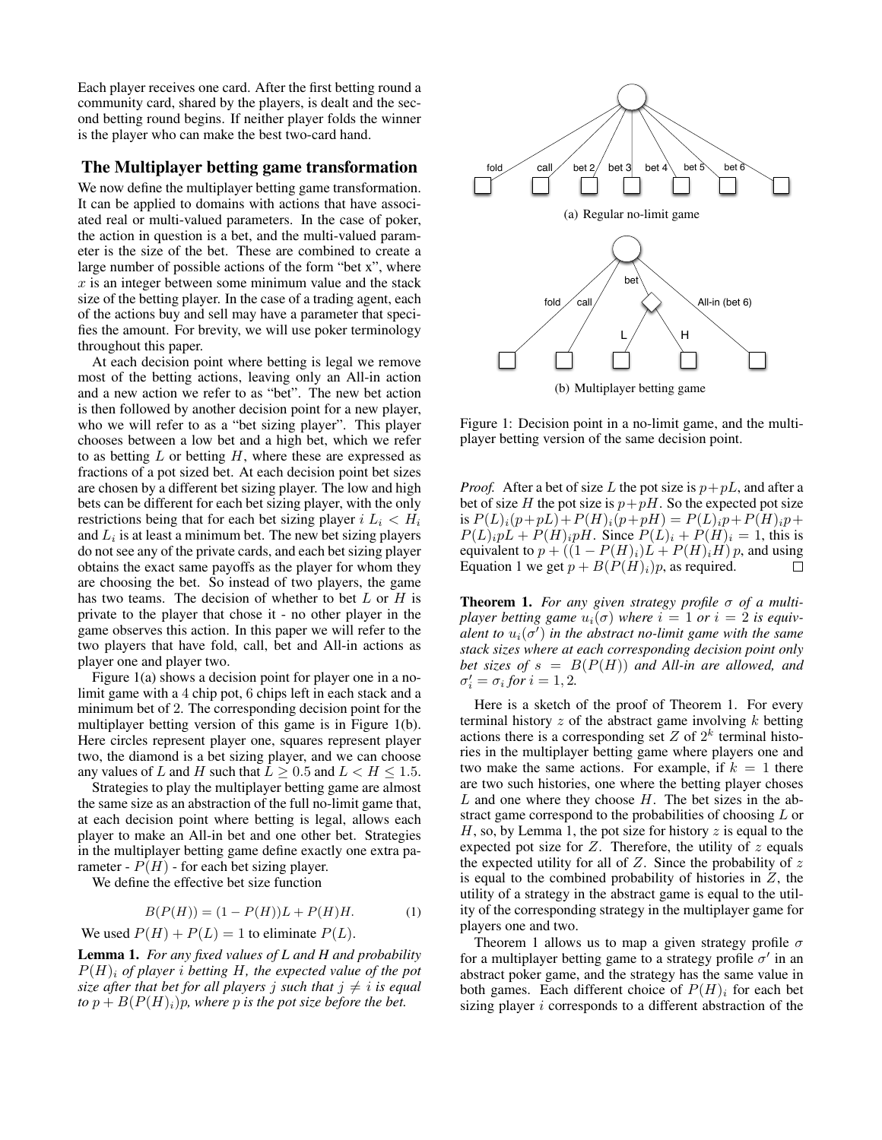Each player receives one card. After the first betting round a community card, shared by the players, is dealt and the second betting round begins. If neither player folds the winner is the player who can make the best two-card hand.

## The Multiplayer betting game transformation

We now define the multiplayer betting game transformation. It can be applied to domains with actions that have associated real or multi-valued parameters. In the case of poker, the action in question is a bet, and the multi-valued parameter is the size of the bet. These are combined to create a large number of possible actions of the form "bet x", where  $x$  is an integer between some minimum value and the stack size of the betting player. In the case of a trading agent, each of the actions buy and sell may have a parameter that specifies the amount. For brevity, we will use poker terminology throughout this paper.

At each decision point where betting is legal we remove most of the betting actions, leaving only an All-in action and a new action we refer to as "bet". The new bet action is then followed by another decision point for a new player, who we will refer to as a "bet sizing player". This player chooses between a low bet and a high bet, which we refer to as betting  $L$  or betting  $H$ , where these are expressed as fractions of a pot sized bet. At each decision point bet sizes are chosen by a different bet sizing player. The low and high bets can be different for each bet sizing player, with the only restrictions being that for each bet sizing player  $i L_i < H_i$ and  $L_i$  is at least a minimum bet. The new bet sizing players do not see any of the private cards, and each bet sizing player obtains the exact same payoffs as the player for whom they are choosing the bet. So instead of two players, the game has two teams. The decision of whether to bet  $L$  or  $H$  is private to the player that chose it - no other player in the game observes this action. In this paper we will refer to the two players that have fold, call, bet and All-in actions as player one and player two. **The Minitides between the size following a pair of the size between the size of the size between the potential between the size of the potential between the size between the potential between the size of the between the** 

Figure 1(a) shows a decision point for player one in a nolimit game with a 4 chip pot, 6 chips left in each stack and a minimum bet of 2. The corresponding decision point for the multiplayer betting version of this game is in Figure 1(b). Here circles represent player one, squares represent player two, the diamond is a bet sizing player, and we can choose any values of L and H such that  $L \ge 0.5$  and  $L < H \le 1.5$ .

Strategies to play the multiplayer betting game are almost the same size as an abstraction of the full no-limit game that, at each decision point where betting is legal, allows each player to make an All-in bet and one other bet. Strategies in the multiplayer betting game define exactly one extra parameter -  $P(H)$  - for each bet sizing player.

We define the effective bet size function

$$
B(P(H)) = (1 - P(H))L + P(H)H.
$$
 (1)

We used  $P(H) + P(L) = 1$  to eliminate  $P(L)$ .

Lemma 1. *For any fixed values of L and H and probability*  $P(H)$ <sub>i</sub> of player *i* betting H, the expected value of the pot *size after that bet for all players j such that*  $j \neq i$  *is equal* 



(b) Multiplayer betting game

Figure 1: Decision point in a no-limit game, and the multiplayer betting version of the same decision point.

*Proof.* After a bet of size L the pot size is  $p + pL$ , and after a bet of size H the pot size is  $p+pH$ . So the expected pot size is  $P(L)_{i}(p+pL) + P(H)_{i}(p+pH) = P(L)_{i}p + P(H)_{i}p+$  $P(L)_{i}pL + P(H)_{i}pH$ . Since  $P(L)_{i} + P(H)_{i} = 1$ , this is equivalent to  $p + ((1 - P(H)_i)L + P(H)_iH) p$ , and using Equation 1 we get  $p + B(P(H)<sub>i</sub>)p$ , as required.  $\Box$ 

Theorem 1. *For any given strategy profile* σ *of a multiplayer betting game*  $u_i(\sigma)$  *where*  $i = 1$  *or*  $i = 2$  *is equiv* $a$ lent to  $u_i(\sigma')$  in the abstract no-limit game with the same *stack sizes where at each corresponding decision point only bet sizes of*  $s = B(P(H))$  *and All-in are allowed, and*  $\sigma'_{i} = \sigma_{i}$  for  $i = 1, 2$ .

Here is a sketch of the proof of Theorem 1. For every terminal history  $z$  of the abstract game involving  $k$  betting actions there is a corresponding set  $Z$  of  $2^k$  terminal histories in the multiplayer betting game where players one and two make the same actions. For example, if  $k = 1$  there are two such histories, one where the betting player choses  $L$  and one where they choose  $H$ . The bet sizes in the abstract game correspond to the probabilities of choosing L or  $H$ , so, by Lemma 1, the pot size for history  $z$  is equal to the expected pot size for  $Z$ . Therefore, the utility of  $z$  equals the expected utility for all of  $Z$ . Since the probability of  $z$ is equal to the combined probability of histories in  $Z$ , the utility of a strategy in the abstract game is equal to the utility of the corresponding strategy in the multiplayer game for players one and two.

Theorem 1 allows us to map a given strategy profile  $\sigma$ for a multiplayer betting game to a strategy profile  $\sigma'$  in an abstract poker game, and the strategy has the same value in both games. Each different choice of  $P(H)$ <sub>i</sub> for each bet sizing player *i* corresponds to a different abstraction of the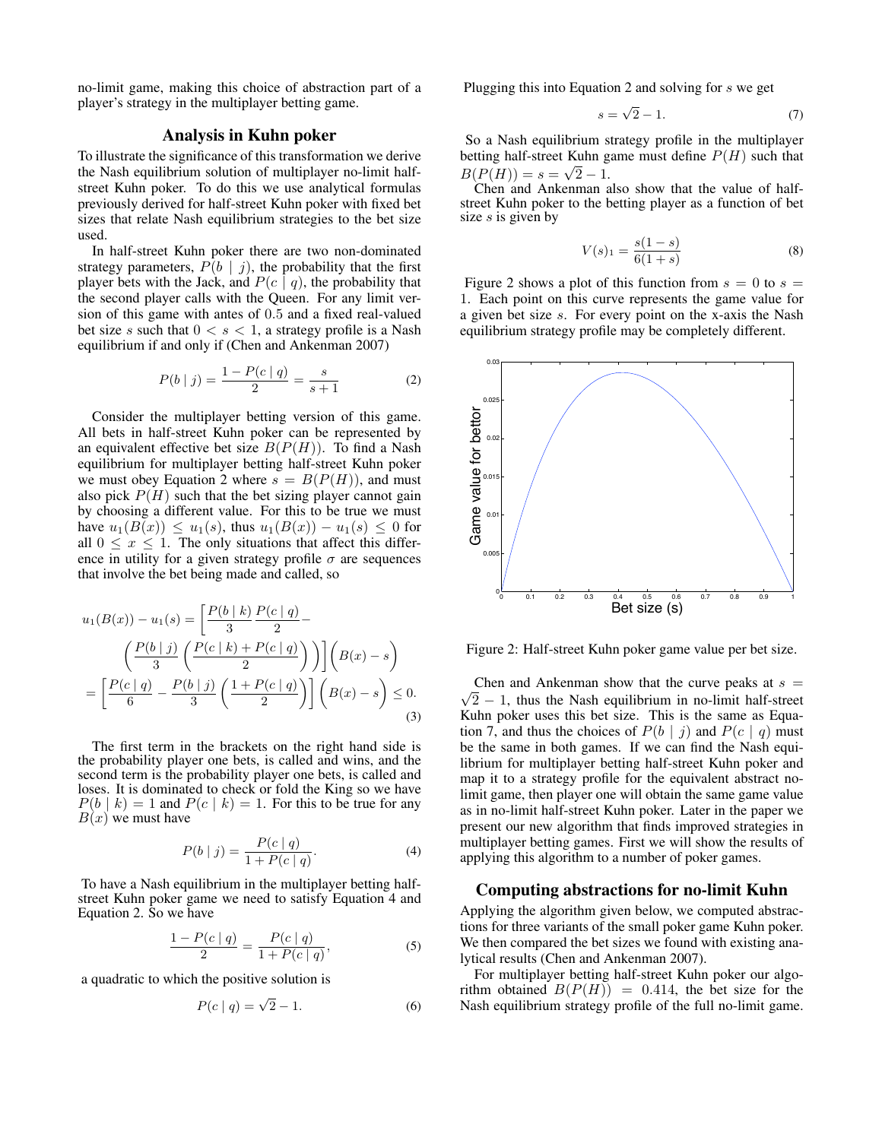no-limit game, making this choice of abstraction part of a player's strategy in the multiplayer betting game.

## Analysis in Kuhn poker

To illustrate the significance of this transformation we derive the Nash equilibrium solution of multiplayer no-limit halfstreet Kuhn poker. To do this we use analytical formulas previously derived for half-street Kuhn poker with fixed bet sizes that relate Nash equilibrium strategies to the bet size used.

In half-street Kuhn poker there are two non-dominated strategy parameters,  $P(b | j)$ , the probability that the first player bets with the Jack, and  $P(c | q)$ , the probability that the second player calls with the Queen. For any limit version of this game with antes of 0.5 and a fixed real-valued bet size s such that  $0 < s < 1$ , a strategy profile is a Nash equilibrium if and only if (Chen and Ankenman 2007)

$$
P(b | j) = \frac{1 - P(c | q)}{2} = \frac{s}{s + 1}
$$
 (2)

Consider the multiplayer betting version of this game. All bets in half-street Kuhn poker can be represented by an equivalent effective bet size  $B(P(H))$ . To find a Nash equilibrium for multiplayer betting half-street Kuhn poker we must obey Equation 2 where  $s = B(P(H))$ , and must also pick  $P(H)$  such that the bet sizing player cannot gain by choosing a different value. For this to be true we must have  $u_1(B(x)) \leq u_1(s)$ , thus  $u_1(B(x)) - u_1(s) \leq 0$  for all  $0 \leq x \leq 1$ . The only situations that affect this difference in utility for a given strategy profile  $\sigma$  are sequences that involve the bet being made and called, so

$$
u_1(B(x)) - u_1(s) = \left[\frac{P(b \mid k)}{3} \frac{P(c \mid q)}{2} - \frac{\left(\frac{P(b \mid j)}{3} \left(\frac{P(c \mid k) + P(c \mid q)}{2}\right)\right)}{2}\right] \left(B(x) - s\right)
$$

$$
= \left[\frac{P(c \mid q)}{6} - \frac{P(b \mid j)}{3} \left(\frac{1 + P(c \mid q)}{2}\right)\right] \left(B(x) - s\right) \le 0.
$$
(3)

The first term in the brackets on the right hand side is the probability player one bets, is called and wins, and the second term is the probability player one bets, is called and loses. It is dominated to check or fold the King so we have  $P(b \mid k) = 1$  and  $P(c \mid k) = 1$ . For this to be true for any  $B(x)$  we must have

$$
P(b | j) = \frac{P(c | q)}{1 + P(c | q)}.
$$
\n(4)

To have a Nash equilibrium in the multiplayer betting halfstreet Kuhn poker game we need to satisfy Equation 4 and Equation 2. So we have

$$
\frac{1 - P(c \mid q)}{2} = \frac{P(c \mid q)}{1 + P(c \mid q)},
$$
\n(5)

a quadratic to which the positive solution is

$$
P(c \mid q) = \sqrt{2} - 1. \tag{6}
$$

Plugging this into Equation 2 and solving for s we get

$$
s = \sqrt{2} - 1.\tag{7}
$$

So a Nash equilibrium strategy profile in the multiplayer betting half-street Kuhn game must define  $P(H)$  such that  $B(P(H)) = s = \sqrt{2} - 1.$ 

Chen and Ankenman also show that the value of halfstreet Kuhn poker to the betting player as a function of bet size  $s$  is given by

$$
V(s)_1 = \frac{s(1-s)}{6(1+s)}\tag{8}
$$

Figure 2 shows a plot of this function from  $s = 0$  to  $s =$ 1. Each point on this curve represents the game value for a given bet size s. For every point on the x-axis the Nash equilibrium strategy profile may be completely different.



Figure 2: Half-street Kuhn poker game value per bet size.

√ Chen and Ankenman show that the curve peaks at  $s =$  $2 - 1$ , thus the Nash equilibrium in no-limit half-street Kuhn poker uses this bet size. This is the same as Equation 7, and thus the choices of  $P(b | j)$  and  $P(c | q)$  must be the same in both games. If we can find the Nash equilibrium for multiplayer betting half-street Kuhn poker and map it to a strategy profile for the equivalent abstract nolimit game, then player one will obtain the same game value as in no-limit half-street Kuhn poker. Later in the paper we present our new algorithm that finds improved strategies in multiplayer betting games. First we will show the results of applying this algorithm to a number of poker games.

### Computing abstractions for no-limit Kuhn

Applying the algorithm given below, we computed abstractions for three variants of the small poker game Kuhn poker. We then compared the bet sizes we found with existing analytical results (Chen and Ankenman 2007).

For multiplayer betting half-street Kuhn poker our algorithm obtained  $B(P(H)) = 0.414$ , the bet size for the Nash equilibrium strategy profile of the full no-limit game.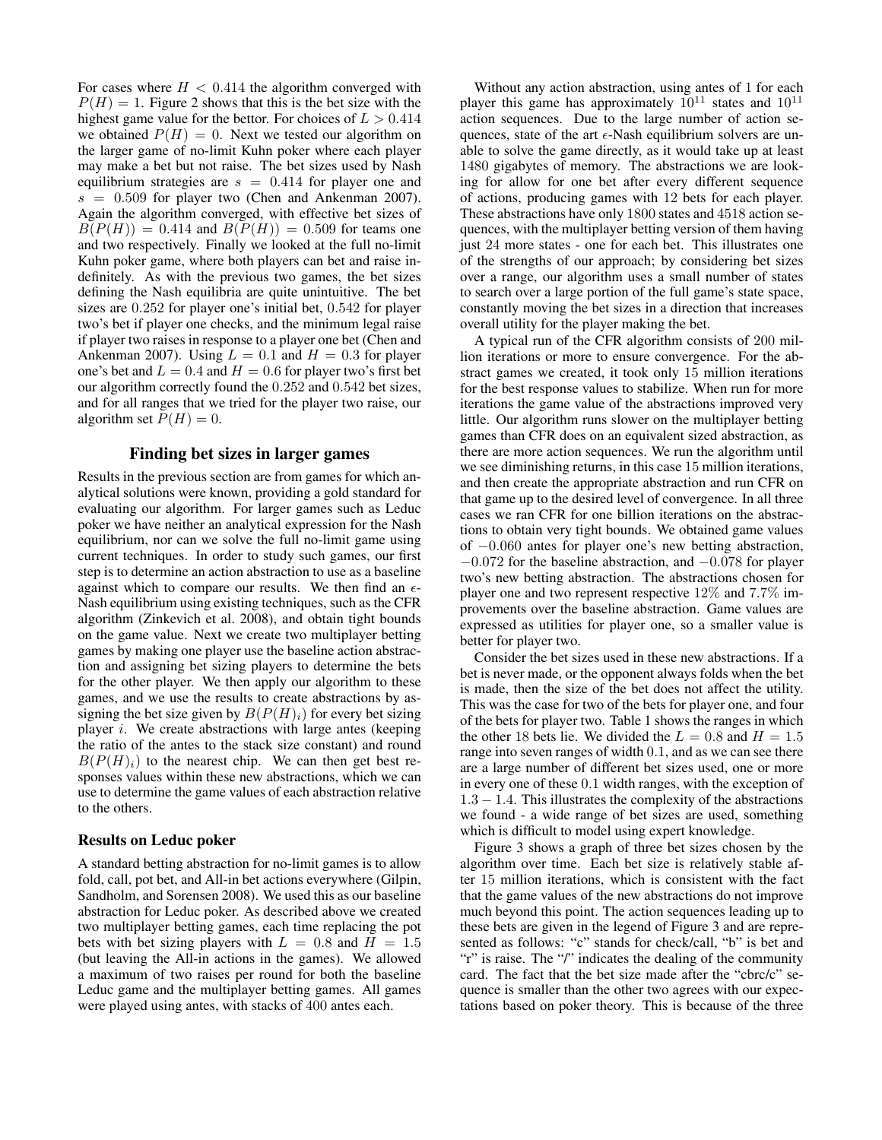For cases where  $H < 0.414$  the algorithm converged with  $P(H) = 1$ . Figure 2 shows that this is the bet size with the highest game value for the bettor. For choices of  $L > 0.414$ we obtained  $P(H) = 0$ . Next we tested our algorithm on the larger game of no-limit Kuhn poker where each player may make a bet but not raise. The bet sizes used by Nash equilibrium strategies are  $s = 0.414$  for player one and  $s = 0.509$  for player two (Chen and Ankenman 2007). Again the algorithm converged, with effective bet sizes of  $B(P(H)) = 0.414$  and  $B(P(H)) = 0.509$  for teams one and two respectively. Finally we looked at the full no-limit Kuhn poker game, where both players can bet and raise indefinitely. As with the previous two games, the bet sizes defining the Nash equilibria are quite unintuitive. The bet sizes are 0.252 for player one's initial bet, 0.542 for player two's bet if player one checks, and the minimum legal raise if player two raises in response to a player one bet (Chen and Ankenman 2007). Using  $L = 0.1$  and  $H = 0.3$  for player one's bet and  $L = 0.4$  and  $H = 0.6$  for player two's first bet our algorithm correctly found the 0.252 and 0.542 bet sizes, and for all ranges that we tried for the player two raise, our algorithm set  $\overline{P}(H) = 0$ .

#### Finding bet sizes in larger games

Results in the previous section are from games for which analytical solutions were known, providing a gold standard for evaluating our algorithm. For larger games such as Leduc poker we have neither an analytical expression for the Nash equilibrium, nor can we solve the full no-limit game using current techniques. In order to study such games, our first step is to determine an action abstraction to use as a baseline against which to compare our results. We then find an  $\epsilon$ -Nash equilibrium using existing techniques, such as the CFR algorithm (Zinkevich et al. 2008), and obtain tight bounds on the game value. Next we create two multiplayer betting games by making one player use the baseline action abstraction and assigning bet sizing players to determine the bets for the other player. We then apply our algorithm to these games, and we use the results to create abstractions by assigning the bet size given by  $B(P(H)_i)$  for every bet sizing player  $i$ . We create abstractions with large antes (keeping the ratio of the antes to the stack size constant) and round  $B(P(H)<sub>i</sub>)$  to the nearest chip. We can then get best responses values within these new abstractions, which we can use to determine the game values of each abstraction relative to the others.

#### Results on Leduc poker

A standard betting abstraction for no-limit games is to allow fold, call, pot bet, and All-in bet actions everywhere (Gilpin, Sandholm, and Sorensen 2008). We used this as our baseline abstraction for Leduc poker. As described above we created two multiplayer betting games, each time replacing the pot bets with bet sizing players with  $L = 0.8$  and  $H = 1.5$ (but leaving the All-in actions in the games). We allowed a maximum of two raises per round for both the baseline Leduc game and the multiplayer betting games. All games were played using antes, with stacks of 400 antes each.

Without any action abstraction, using antes of 1 for each player this game has approximately  $10^{11}$  states and  $10^{11}$ action sequences. Due to the large number of action sequences, state of the art  $\epsilon$ -Nash equilibrium solvers are unable to solve the game directly, as it would take up at least 1480 gigabytes of memory. The abstractions we are looking for allow for one bet after every different sequence of actions, producing games with 12 bets for each player. These abstractions have only 1800 states and 4518 action sequences, with the multiplayer betting version of them having just 24 more states - one for each bet. This illustrates one of the strengths of our approach; by considering bet sizes over a range, our algorithm uses a small number of states to search over a large portion of the full game's state space, constantly moving the bet sizes in a direction that increases overall utility for the player making the bet.

A typical run of the CFR algorithm consists of 200 million iterations or more to ensure convergence. For the abstract games we created, it took only 15 million iterations for the best response values to stabilize. When run for more iterations the game value of the abstractions improved very little. Our algorithm runs slower on the multiplayer betting games than CFR does on an equivalent sized abstraction, as there are more action sequences. We run the algorithm until we see diminishing returns, in this case 15 million iterations, and then create the appropriate abstraction and run CFR on that game up to the desired level of convergence. In all three cases we ran CFR for one billion iterations on the abstractions to obtain very tight bounds. We obtained game values of −0.060 antes for player one's new betting abstraction,  $-0.072$  for the baseline abstraction, and  $-0.078$  for player two's new betting abstraction. The abstractions chosen for player one and two represent respective 12% and 7.7% improvements over the baseline abstraction. Game values are expressed as utilities for player one, so a smaller value is better for player two.

Consider the bet sizes used in these new abstractions. If a bet is never made, or the opponent always folds when the bet is made, then the size of the bet does not affect the utility. This was the case for two of the bets for player one, and four of the bets for player two. Table 1 shows the ranges in which the other 18 bets lie. We divided the  $L = 0.8$  and  $H = 1.5$ range into seven ranges of width 0.1, and as we can see there are a large number of different bet sizes used, one or more in every one of these 0.1 width ranges, with the exception of 1.3 − 1.4. This illustrates the complexity of the abstractions we found - a wide range of bet sizes are used, something which is difficult to model using expert knowledge.

Figure 3 shows a graph of three bet sizes chosen by the algorithm over time. Each bet size is relatively stable after 15 million iterations, which is consistent with the fact that the game values of the new abstractions do not improve much beyond this point. The action sequences leading up to these bets are given in the legend of Figure 3 and are represented as follows: "c" stands for check/call, "b" is bet and "r" is raise. The "/" indicates the dealing of the community card. The fact that the bet size made after the "cbrc/c" sequence is smaller than the other two agrees with our expectations based on poker theory. This is because of the three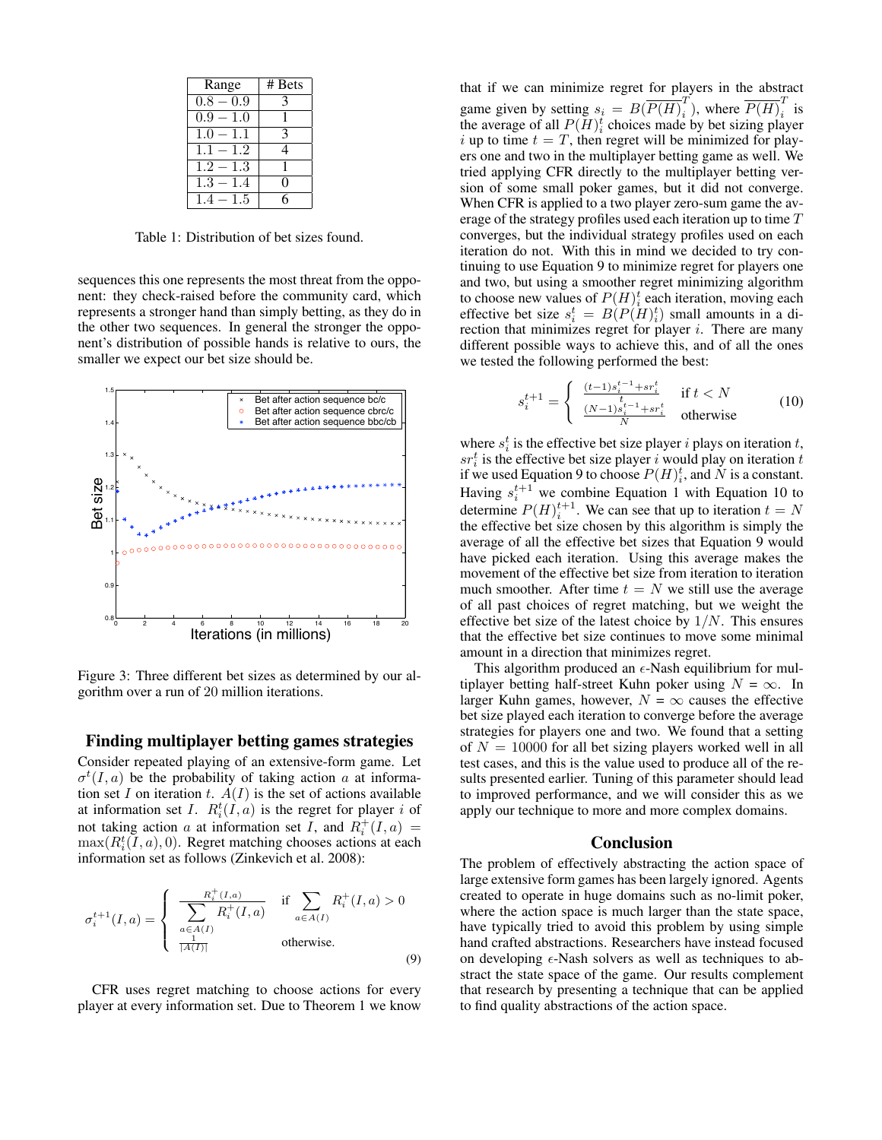| Range                  | # Bets |
|------------------------|--------|
| $0.8 - 0.9$            |        |
| $\overline{0.9} - 1.0$ |        |
| $1.0 - 1.1$            | 3      |
| $1.1 - 1.2$            |        |
| $1.2 - 1.3$            |        |
| $1.3 - \sqrt{1.4}$     |        |
| $1$ .<br>$-1.5$        |        |

Table 1: Distribution of bet sizes found.

sequences this one represents the most threat from the opponent: they check-raised before the community card, which represents a stronger hand than simply betting, as they do in the other two sequences. In general the stronger the opponent's distribution of possible hands is relative to ours, the smaller we expect our bet size should be.



Figure 3: Three different bet sizes as determined by our algorithm over a run of 20 million iterations.

### Finding multiplayer betting games strategies

Consider repeated playing of an extensive-form game. Let  $\sigma^t(I, a)$  be the probability of taking action a at information set I on iteration t.  $A(I)$  is the set of actions available at information set I.  $R_i^t(I, a)$  is the regret for player i of not taking action a at information set I, and  $R_i^+(I, a) =$  $\max(R_i^t(I, a), 0)$ . Regret matching chooses actions at each information set as follows (Zinkevich et al. 2008):

$$
\sigma_i^{t+1}(I, a) = \begin{cases}\n\frac{R_i^+(I, a)}{\sum_{a \in A(I)} R_i^+(I, a)} & \text{if } \sum_{a \in A(I)} R_i^+(I, a) > 0 \\
\frac{R_i^+(I, a)}{|A(I)|} & \text{otherwise.} \n\end{cases}
$$
\n(9)

CFR uses regret matching to choose actions for every player at every information set. Due to Theorem 1 we know

that if we can minimize regret for players in the abstract game given by setting  $s_i = B(\overline{P(H)}_i^T)$  $\overline{P(H)}_i^T$ ), where  $\overline{P(H)}_i^T$  $\overline{i}$  is the average of all  $P(H)^t_i$  choices made by bet sizing player i up to time  $t = T$ , then regret will be minimized for players one and two in the multiplayer betting game as well. We tried applying CFR directly to the multiplayer betting version of some small poker games, but it did not converge. When CFR is applied to a two player zero-sum game the average of the strategy profiles used each iteration up to time  $T$ converges, but the individual strategy profiles used on each iteration do not. With this in mind we decided to try continuing to use Equation 9 to minimize regret for players one and two, but using a smoother regret minimizing algorithm to choose new values of  $P(H)^t_i$  each iteration, moving each effective bet size  $s_i^t = B(P(H)_i^t)$  small amounts in a direction that minimizes regret for player  $i$ . There are many different possible ways to achieve this, and of all the ones we tested the following performed the best:

$$
s_i^{t+1} = \begin{cases} \frac{(t-1)s_i^{t-1} + sr_i^t}{t} & \text{if } t < N\\ \frac{(N-1)s_i^{t-1} + sr_i^t}{N} & \text{otherwise} \end{cases}
$$
 (10)

where  $s_i^t$  is the effective bet size player i plays on iteration t,  $sr_i^t$  is the effective bet size player i would play on iteration t if we used Equation 9 to choose  $P(H)^{t}_{i}$ , and N is a constant. Having  $s_i^{t+1}$  we combine Equation 1 with Equation 10 to determine  $P(H)_{i}^{t+1}$ . We can see that up to iteration  $t = N$ the effective bet size chosen by this algorithm is simply the average of all the effective bet sizes that Equation 9 would have picked each iteration. Using this average makes the movement of the effective bet size from iteration to iteration much smoother. After time  $t = N$  we still use the average of all past choices of regret matching, but we weight the effective bet size of the latest choice by  $1/N$ . This ensures that the effective bet size continues to move some minimal amount in a direction that minimizes regret.

This algorithm produced an  $\epsilon$ -Nash equilibrium for multiplayer betting half-street Kuhn poker using  $N = \infty$ . In larger Kuhn games, however,  $N = \infty$  causes the effective bet size played each iteration to converge before the average strategies for players one and two. We found that a setting of  $N = 10000$  for all bet sizing players worked well in all test cases, and this is the value used to produce all of the results presented earlier. Tuning of this parameter should lead to improved performance, and we will consider this as we apply our technique to more and more complex domains.

#### Conclusion

The problem of effectively abstracting the action space of large extensive form games has been largely ignored. Agents created to operate in huge domains such as no-limit poker, where the action space is much larger than the state space, have typically tried to avoid this problem by using simple hand crafted abstractions. Researchers have instead focused on developing  $\epsilon$ -Nash solvers as well as techniques to abstract the state space of the game. Our results complement that research by presenting a technique that can be applied to find quality abstractions of the action space.